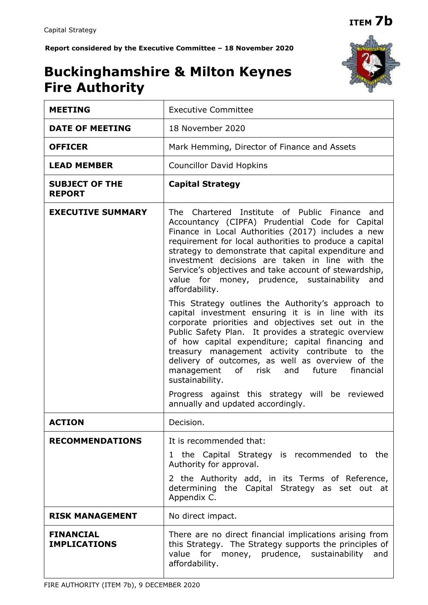**Report considered by the Executive Committee – 18 November 2020**

# **Buckinghamshire & Milton Keynes Fire Authority**

**MEETING** Executive Committee

| <b>DATE OF MEETING</b>                  | 18 November 2020                                                                                                                                                                                                                                                                                                                                                                                                                                                                                                                              |  |  |  |
|-----------------------------------------|-----------------------------------------------------------------------------------------------------------------------------------------------------------------------------------------------------------------------------------------------------------------------------------------------------------------------------------------------------------------------------------------------------------------------------------------------------------------------------------------------------------------------------------------------|--|--|--|
| <b>OFFICER</b>                          | Mark Hemming, Director of Finance and Assets                                                                                                                                                                                                                                                                                                                                                                                                                                                                                                  |  |  |  |
| <b>LEAD MEMBER</b>                      | <b>Councillor David Hopkins</b>                                                                                                                                                                                                                                                                                                                                                                                                                                                                                                               |  |  |  |
| <b>SUBJECT OF THE</b><br><b>REPORT</b>  | <b>Capital Strategy</b>                                                                                                                                                                                                                                                                                                                                                                                                                                                                                                                       |  |  |  |
| <b>EXECUTIVE SUMMARY</b>                | The Chartered Institute of Public Finance and<br>Accountancy (CIPFA) Prudential Code for Capital<br>Finance in Local Authorities (2017) includes a new<br>requirement for local authorities to produce a capital<br>strategy to demonstrate that capital expenditure and<br>investment decisions are taken in line with the<br>Service's objectives and take account of stewardship,<br>value for money, prudence, sustainability<br>and<br>affordability.                                                                                    |  |  |  |
|                                         | This Strategy outlines the Authority's approach to<br>capital investment ensuring it is in line with its<br>corporate priorities and objectives set out in the<br>Public Safety Plan. It provides a strategic overview<br>of how capital expenditure; capital financing and<br>treasury management activity contribute to the<br>delivery of outcomes, as well as overview of the<br>of risk and future<br>management<br>financial<br>sustainability.<br>Progress against this strategy will be reviewed<br>annually and updated accordingly. |  |  |  |
| <b>ACTION</b>                           | Decision.                                                                                                                                                                                                                                                                                                                                                                                                                                                                                                                                     |  |  |  |
| <b>RECOMMENDATIONS</b>                  | It is recommended that:<br>the Capital Strategy is recommended to the<br>1<br>Authority for approval.<br>2 the Authority add, in its Terms of Reference,<br>determining the Capital Strategy as set out at<br>Appendix C.                                                                                                                                                                                                                                                                                                                     |  |  |  |
| <b>RISK MANAGEMENT</b>                  | No direct impact.                                                                                                                                                                                                                                                                                                                                                                                                                                                                                                                             |  |  |  |
| <b>FINANCIAL</b><br><b>IMPLICATIONS</b> | There are no direct financial implications arising from<br>this Strategy. The Strategy supports the principles of<br>value for money, prudence, sustainability<br>and<br>affordability.                                                                                                                                                                                                                                                                                                                                                       |  |  |  |

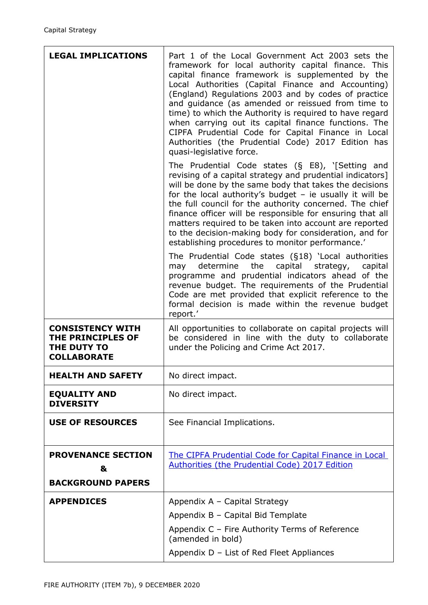| <b>LEGAL IMPLICATIONS</b>                                                         | Part 1 of the Local Government Act 2003 sets the<br>framework for local authority capital finance. This<br>capital finance framework is supplemented by the<br>Local Authorities (Capital Finance and Accounting)<br>(England) Regulations 2003 and by codes of practice<br>and guidance (as amended or reissued from time to<br>time) to which the Authority is required to have regard<br>when carrying out its capital finance functions. The<br>CIPFA Prudential Code for Capital Finance in Local<br>Authorities (the Prudential Code) 2017 Edition has<br>quasi-legislative force. |
|-----------------------------------------------------------------------------------|------------------------------------------------------------------------------------------------------------------------------------------------------------------------------------------------------------------------------------------------------------------------------------------------------------------------------------------------------------------------------------------------------------------------------------------------------------------------------------------------------------------------------------------------------------------------------------------|
|                                                                                   | The Prudential Code states $(S$ E8), '[Setting and<br>revising of a capital strategy and prudential indicators]<br>will be done by the same body that takes the decisions<br>for the local authority's budget $-$ ie usually it will be<br>the full council for the authority concerned. The chief<br>finance officer will be responsible for ensuring that all<br>matters required to be taken into account are reported<br>to the decision-making body for consideration, and for<br>establishing procedures to monitor performance.'                                                  |
|                                                                                   | The Prudential Code states $(S18)$ 'Local authorities<br>determine the<br>capital<br>strategy,<br>capital<br>may<br>programme and prudential indicators ahead of the<br>revenue budget. The requirements of the Prudential<br>Code are met provided that explicit reference to the<br>formal decision is made within the revenue budget<br>report.'                                                                                                                                                                                                                                      |
| <b>CONSISTENCY WITH</b><br>THE PRINCIPLES OF<br>THE DUTY TO<br><b>COLLABORATE</b> | All opportunities to collaborate on capital projects will<br>be considered in line with the duty to collaborate<br>under the Policing and Crime Act 2017.                                                                                                                                                                                                                                                                                                                                                                                                                                |
| <b>HEALTH AND SAFETY</b>                                                          | No direct impact.                                                                                                                                                                                                                                                                                                                                                                                                                                                                                                                                                                        |
| <b>EQUALITY AND</b><br><b>DIVERSITY</b>                                           | No direct impact.                                                                                                                                                                                                                                                                                                                                                                                                                                                                                                                                                                        |
| <b>USE OF RESOURCES</b>                                                           | See Financial Implications.                                                                                                                                                                                                                                                                                                                                                                                                                                                                                                                                                              |
| <b>PROVENANCE SECTION</b><br>&                                                    | The CIPFA Prudential Code for Capital Finance in Local<br>Authorities (the Prudential Code) 2017 Edition                                                                                                                                                                                                                                                                                                                                                                                                                                                                                 |
| <b>BACKGROUND PAPERS</b>                                                          |                                                                                                                                                                                                                                                                                                                                                                                                                                                                                                                                                                                          |
| <b>APPENDICES</b>                                                                 | Appendix A - Capital Strategy                                                                                                                                                                                                                                                                                                                                                                                                                                                                                                                                                            |
|                                                                                   | Appendix B - Capital Bid Template                                                                                                                                                                                                                                                                                                                                                                                                                                                                                                                                                        |
|                                                                                   | Appendix C - Fire Authority Terms of Reference<br>(amended in bold)                                                                                                                                                                                                                                                                                                                                                                                                                                                                                                                      |
|                                                                                   | Appendix D - List of Red Fleet Appliances                                                                                                                                                                                                                                                                                                                                                                                                                                                                                                                                                |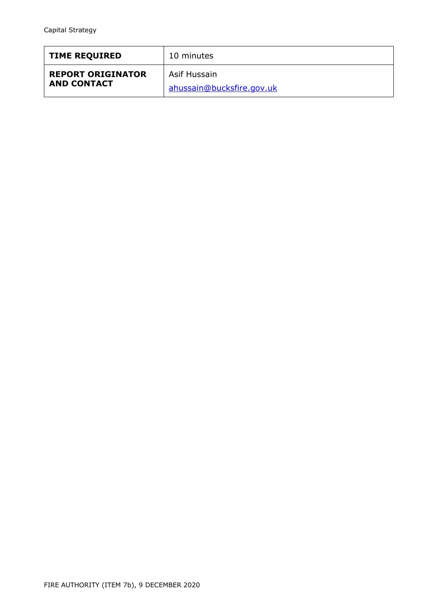| <b>TIME REQUIRED</b>     | 10 minutes                |
|--------------------------|---------------------------|
| <b>REPORT ORIGINATOR</b> | Asif Hussain              |
| <b>AND CONTACT</b>       | ahussain@bucksfire.gov.uk |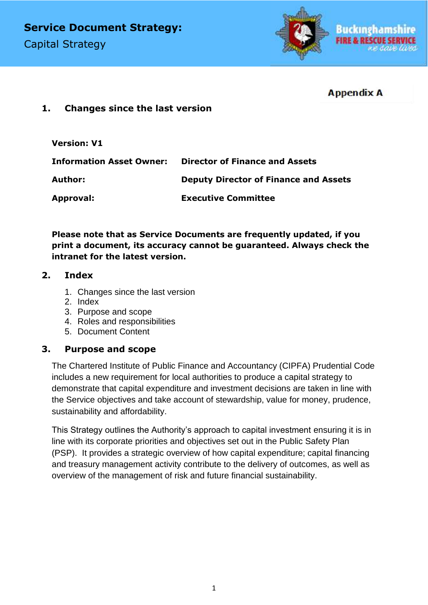

# **Appendix A**

# **1. Changes since the last version**

**Version: V1**

**Information Asset Owner: Director of Finance and Assets Author: Deputy Director of Finance and Assets Approval: Executive Committee**

**Please note that as Service Documents are frequently updated, if you print a document, its accuracy cannot be guaranteed. Always check the intranet for the latest version.**

# **2. Index**

- 1. Changes since the last version
- 2. Index
- 3. Purpose and scope
- 4. Roles and responsibilities
- 5. Document Content

# **3. Purpose and scope**

The Chartered Institute of Public Finance and Accountancy (CIPFA) Prudential Code includes a new requirement for local authorities to produce a capital strategy to demonstrate that capital expenditure and investment decisions are taken in line with the Service objectives and take account of stewardship, value for money, prudence, sustainability and affordability.

This Strategy outlines the Authority's approach to capital investment ensuring it is in line with its corporate priorities and objectives set out in the Public Safety Plan (PSP). It provides a strategic overview of how capital expenditure; capital financing and treasury management activity contribute to the delivery of outcomes, as well as overview of the management of risk and future financial sustainability.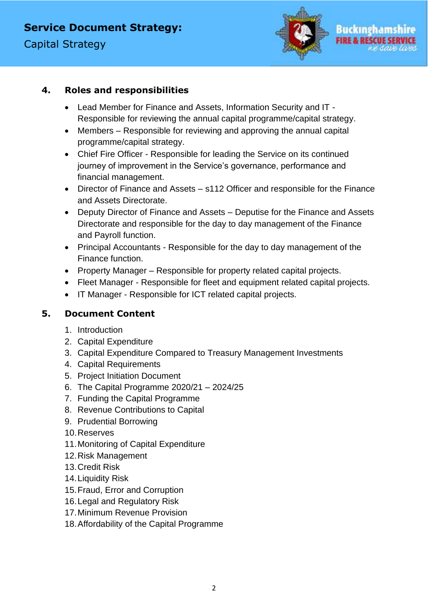

# **4. Roles and responsibilities**

- Lead Member for Finance and Assets, Information Security and IT Responsible for reviewing the annual capital programme/capital strategy.
- Members Responsible for reviewing and approving the annual capital programme/capital strategy.
- Chief Fire Officer Responsible for leading the Service on its continued journey of improvement in the Service's governance, performance and financial management.
- Director of Finance and Assets s112 Officer and responsible for the Finance and Assets Directorate.
- Deputy Director of Finance and Assets Deputise for the Finance and Assets Directorate and responsible for the day to day management of the Finance and Payroll function.
- Principal Accountants Responsible for the day to day management of the Finance function.
- Property Manager Responsible for property related capital projects.
- Fleet Manager Responsible for fleet and equipment related capital projects.
- IT Manager Responsible for ICT related capital projects.

# **5. Document Content**

- 1. Introduction
- 2. Capital Expenditure
- 3. Capital Expenditure Compared to Treasury Management Investments
- 4. Capital Requirements
- 5. Project Initiation Document
- 6. The Capital Programme 2020/21 2024/25
- 7. Funding the Capital Programme
- 8. Revenue Contributions to Capital
- 9. Prudential Borrowing
- 10.Reserves
- 11.Monitoring of Capital Expenditure
- 12.Risk Management
- 13.Credit Risk
- 14.Liquidity Risk
- 15.Fraud, Error and Corruption
- 16.Legal and Regulatory Risk
- 17.Minimum Revenue Provision
- 18.Affordability of the Capital Programme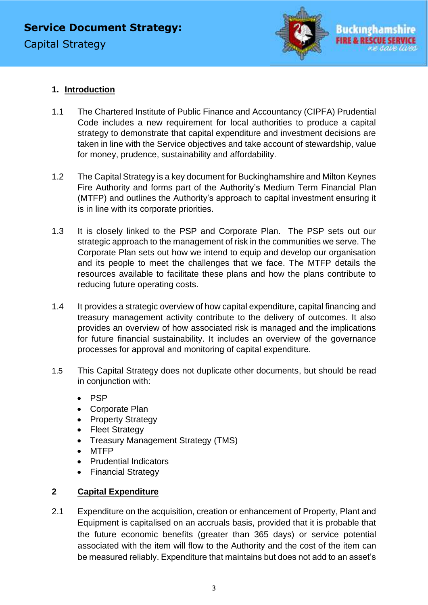

# **1. Introduction**

- 1.1 The Chartered Institute of Public Finance and Accountancy (CIPFA) Prudential Code includes a new requirement for local authorities to produce a capital strategy to demonstrate that capital expenditure and investment decisions are taken in line with the Service objectives and take account of stewardship, value for money, prudence, sustainability and affordability.
- 1.2 The Capital Strategy is a key document for Buckinghamshire and Milton Keynes Fire Authority and forms part of the Authority's Medium Term Financial Plan (MTFP) and outlines the Authority's approach to capital investment ensuring it is in line with its corporate priorities.
- 1.3 It is closely linked to the PSP and Corporate Plan. The PSP sets out our strategic approach to the management of risk in the communities we serve. The Corporate Plan sets out how we intend to equip and develop our organisation and its people to meet the challenges that we face. The MTFP details the resources available to facilitate these plans and how the plans contribute to reducing future operating costs.
- 1.4 It provides a strategic overview of how capital expenditure, capital financing and treasury management activity contribute to the delivery of outcomes. It also provides an overview of how associated risk is managed and the implications for future financial sustainability. It includes an overview of the governance processes for approval and monitoring of capital expenditure.
- 1.5 This Capital Strategy does not duplicate other documents, but should be read in conjunction with:
	- PSP
	- Corporate Plan
	- Property Strategy
	- Fleet Strategy
	- Treasury Management Strategy (TMS)
	- MTFP
	- Prudential Indicators
	- Financial Strategy

# **2 Capital Expenditure**

2.1 Expenditure on the acquisition, creation or enhancement of Property, Plant and Equipment is capitalised on an accruals basis, provided that it is probable that the future economic benefits (greater than 365 days) or service potential associated with the item will flow to the Authority and the cost of the item can be measured reliably. Expenditure that maintains but does not add to an asset's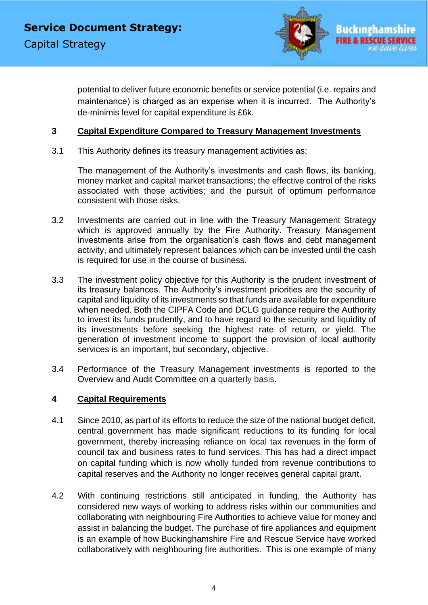

potential to deliver future economic benefits or service potential (i.e. repairs and maintenance) is charged as an expense when it is incurred. The Authority's de-minimis level for capital expenditure is £6k.

#### **3 Capital Expenditure Compared to Treasury Management Investments**

3.1 This Authority defines its treasury management activities as:

The management of the Authority's investments and cash flows, its banking, money market and capital market transactions; the effective control of the risks associated with those activities; and the pursuit of optimum performance consistent with those risks.

- 3.2 Investments are carried out in line with the Treasury Management Strategy which is approved annually by the Fire Authority. Treasury Management investments arise from the organisation's cash flows and debt management activity, and ultimately represent balances which can be invested until the cash is required for use in the course of business.
- 3.3 The investment policy objective for this Authority is the prudent investment of its treasury balances. The Authority's investment priorities are the security of capital and liquidity of its investments so that funds are available for expenditure when needed. Both the CIPFA Code and DCLG guidance require the Authority to invest its funds prudently, and to have regard to the security and liquidity of its investments before seeking the highest rate of return, or yield. The generation of investment income to support the provision of local authority services is an important, but secondary, objective.
- 3.4 Performance of the Treasury Management investments is reported to the Overview and Audit Committee on a quarterly basis.

# **4 Capital Requirements**

- 4.1 Since 2010, as part of its efforts to reduce the size of the national budget deficit, central government has made significant reductions to its funding for local government, thereby increasing reliance on local tax revenues in the form of council tax and business rates to fund services. This has had a direct impact on capital funding which is now wholly funded from revenue contributions to capital reserves and the Authority no longer receives general capital grant.
- 4.2 With continuing restrictions still anticipated in funding, the Authority has considered new ways of working to address risks within our communities and collaborating with neighbouring Fire Authorities to achieve value for money and assist in balancing the budget. The purchase of fire appliances and equipment is an example of how Buckinghamshire Fire and Rescue Service have worked collaboratively with neighbouring fire authorities. This is one example of many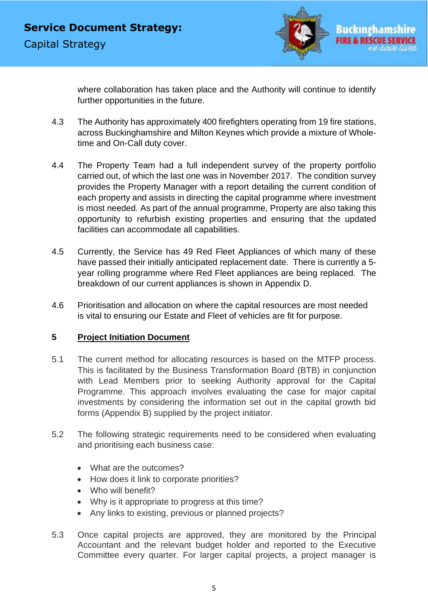

where collaboration has taken place and the Authority will continue to identify further opportunities in the future.

- 4.3 The Authority has approximately 400 firefighters operating from 19 fire stations, across Buckinghamshire and Milton Keynes which provide a mixture of Wholetime and On-Call duty cover.
- 4.4 The Property Team had a full independent survey of the property portfolio carried out, of which the last one was in November 2017. The condition survey provides the Property Manager with a report detailing the current condition of each property and assists in directing the capital programme where investment is most needed. As part of the annual programme, Property are also taking this opportunity to refurbish existing properties and ensuring that the updated facilities can accommodate all capabilities.
- 4.5 Currently, the Service has 49 Red Fleet Appliances of which many of these have passed their initially anticipated replacement date. There is currently a 5 year rolling programme where Red Fleet appliances are being replaced. The breakdown of our current appliances is shown in Appendix D.
- 4.6 Prioritisation and allocation on where the capital resources are most needed is vital to ensuring our Estate and Fleet of vehicles are fit for purpose.

# **5 Project Initiation Document**

- 5.1 The current method for allocating resources is based on the MTFP process. This is facilitated by the Business Transformation Board (BTB) in conjunction with Lead Members prior to seeking Authority approval for the Capital Programme. This approach involves evaluating the case for major capital investments by considering the information set out in the capital growth bid forms (Appendix B) supplied by the project initiator.
- 5.2 The following strategic requirements need to be considered when evaluating and prioritising each business case:
	- What are the outcomes?
	- How does it link to corporate priorities?
	- Who will benefit?
	- Why is it appropriate to progress at this time?
	- Any links to existing, previous or planned projects?
- 5.3 Once capital projects are approved, they are monitored by the Principal Accountant and the relevant budget holder and reported to the Executive Committee every quarter. For larger capital projects, a project manager is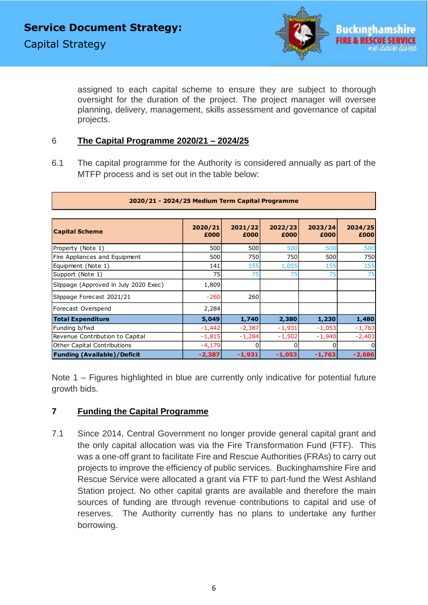

assigned to each capital scheme to ensure they are subject to thorough oversight for the duration of the project. The project manager will oversee planning, delivery, management, skills assessment and governance of capital projects.

### 6 **The Capital Programme 2020/21 – 2024/25**

6.1 The capital programme for the Authority is considered annually as part of the MTFP process and is set out in the table below:

| <b>Capital Scheme</b>                 | 2020/21<br>£000 | 2021/22<br>£000 | 2022/23<br>£000 | 2023/24<br>£000 | 2024/25<br>£000 |
|---------------------------------------|-----------------|-----------------|-----------------|-----------------|-----------------|
| Property (Note 1)                     | 500             | 500             | 500             | 500             | 500             |
| Fire Appliances and Equipment         | 500             | 750             | 750             | 500             | 750             |
| Equipment (Note 1)                    | 141             | 155             | 1,055           | 155             | 155             |
| Support (Note 1)                      | 75              | 75              | 75              | 75              | 75              |
| Slippage (Approved in July 2020 Exec) | 1,809           |                 |                 |                 |                 |
| Slippage Forecast 2021/21             | $-260$          | 260             |                 |                 |                 |
| Forecast Overspend                    | 2,284           |                 |                 |                 |                 |
| <b>Total Expenditure</b>              | 5,049           | 1,740           | 2,380           | 1,230           | 1,480           |
| Funding b/fwd                         | $-1,442$        | $-2,387$        | $-1,931$        | $-1,053$        | $-1,763$        |
| Revenue Contribution to Capital       | $-1,815$        | $-1,284$        | $-1,502$        | $-1.940$        | $-2,403$        |
| <b>Other Capital Contributions</b>    | $-4,179$        |                 |                 |                 |                 |
| <b>Funding (Available)/Deficit</b>    | $-2,387$        | -1,931          | $-1,053$        | $-1,763$        | $-2,686$        |

#### **2020/21 - 2024/25 Medium Term Capital Programme**

Note 1 – Figures highlighted in blue are currently only indicative for potential future growth bids.

#### **7 Funding the Capital Programme**

7.1 Since 2014, Central Government no longer provide general capital grant and the only capital allocation was via the Fire Transformation Fund (FTF). This was a one-off grant to facilitate Fire and Rescue Authorities (FRAs) to carry out projects to improve the efficiency of public services. Buckinghamshire Fire and Rescue Service were allocated a grant via FTF to part-fund the West Ashland Station project. No other capital grants are available and therefore the main sources of funding are through revenue contributions to capital and use of reserves. The Authority currently has no plans to undertake any further borrowing.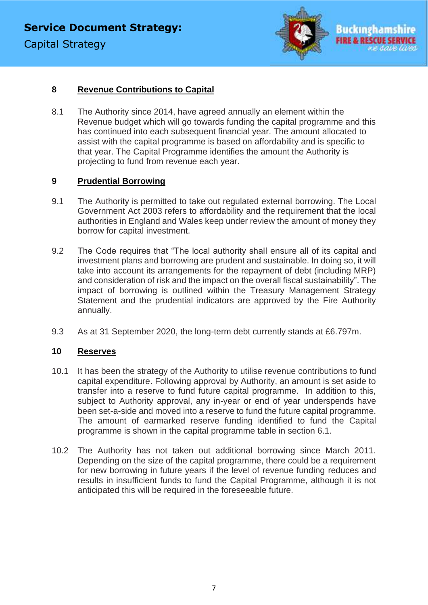

## **8 Revenue Contributions to Capital**

8.1 The Authority since 2014, have agreed annually an element within the Revenue budget which will go towards funding the capital programme and this has continued into each subsequent financial year. The amount allocated to assist with the capital programme is based on affordability and is specific to that year. The Capital Programme identifies the amount the Authority is projecting to fund from revenue each year.

### **9 Prudential Borrowing**

- 9.1 The Authority is permitted to take out regulated external borrowing. The Local Government Act 2003 refers to affordability and the requirement that the local authorities in England and Wales keep under review the amount of money they borrow for capital investment.
- 9.2 The Code requires that "The local authority shall ensure all of its capital and investment plans and borrowing are prudent and sustainable. In doing so, it will take into account its arrangements for the repayment of debt (including MRP) and consideration of risk and the impact on the overall fiscal sustainability". The impact of borrowing is outlined within the Treasury Management Strategy Statement and the prudential indicators are approved by the Fire Authority annually.
- 9.3 As at 31 September 2020, the long-term debt currently stands at £6.797m.

#### **10 Reserves**

- 10.1 It has been the strategy of the Authority to utilise revenue contributions to fund capital expenditure. Following approval by Authority, an amount is set aside to transfer into a reserve to fund future capital programme. In addition to this, subject to Authority approval, any in-year or end of year underspends have been set-a-side and moved into a reserve to fund the future capital programme. The amount of earmarked reserve funding identified to fund the Capital programme is shown in the capital programme table in section 6.1.
- 10.2 The Authority has not taken out additional borrowing since March 2011. Depending on the size of the capital programme, there could be a requirement for new borrowing in future years if the level of revenue funding reduces and results in insufficient funds to fund the Capital Programme, although it is not anticipated this will be required in the foreseeable future.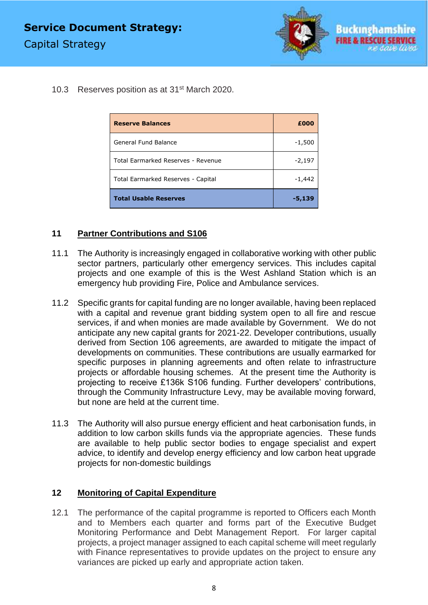

10.3 Reserves position as at 31st March 2020.

| <b>Reserve Balances</b>            | £000     |
|------------------------------------|----------|
| General Fund Balance               | $-1,500$ |
| Total Earmarked Reserves - Revenue | $-2,197$ |
| Total Earmarked Reserves - Capital | -1,442   |
| <b>Total Usable Reserves</b>       | -5,139   |

# **11 Partner Contributions and S106**

- 11.1 The Authority is increasingly engaged in collaborative working with other public sector partners, particularly other emergency services. This includes capital projects and one example of this is the West Ashland Station which is an emergency hub providing Fire, Police and Ambulance services.
- 11.2 Specific grants for capital funding are no longer available, having been replaced with a capital and revenue grant bidding system open to all fire and rescue services, if and when monies are made available by Government. We do not anticipate any new capital grants for 2021-22. Developer contributions, usually derived from Section 106 agreements, are awarded to mitigate the impact of developments on communities. These contributions are usually earmarked for specific purposes in planning agreements and often relate to infrastructure projects or affordable housing schemes. At the present time the Authority is projecting to receive £136k S106 funding. Further developers' contributions, through the Community Infrastructure Levy, may be available moving forward, but none are held at the current time.
- 11.3 The Authority will also pursue energy efficient and heat carbonisation funds, in addition to low carbon skills funds via the appropriate agencies. These funds are available to help public sector bodies to engage specialist and expert advice, to identify and develop energy efficiency and low carbon heat upgrade projects for non-domestic buildings

#### **12 Monitoring of Capital Expenditure**

12.1 The performance of the capital programme is reported to Officers each Month and to Members each quarter and forms part of the Executive Budget Monitoring Performance and Debt Management Report. For larger capital projects, a project manager assigned to each capital scheme will meet regularly with Finance representatives to provide updates on the project to ensure any variances are picked up early and appropriate action taken.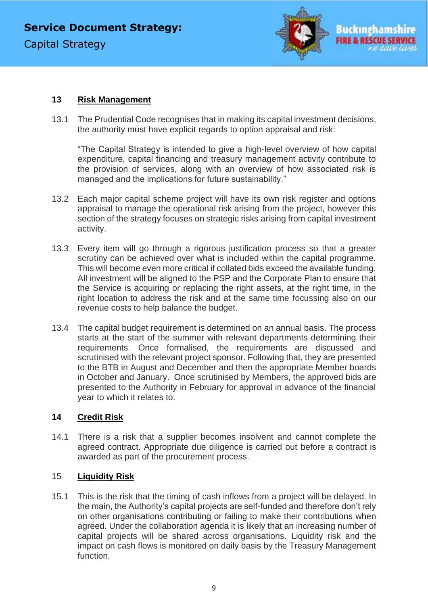

#### **13 Risk Management**

13.1 The Prudential Code recognises that in making its capital investment decisions, the authority must have explicit regards to option appraisal and risk:

"The Capital Strategy is intended to give a high-level overview of how capital expenditure, capital financing and treasury management activity contribute to the provision of services, along with an overview of how associated risk is managed and the implications for future sustainability."

- 13.2 Each major capital scheme project will have its own risk register and options appraisal to manage the operational risk arising from the project, however this section of the strategy focuses on strategic risks arising from capital investment activity.
- 13.3 Every item will go through a rigorous justification process so that a greater scrutiny can be achieved over what is included within the capital programme. This will become even more critical if collated bids exceed the available funding. All investment will be aligned to the PSP and the Corporate Plan to ensure that the Service is acquiring or replacing the right assets, at the right time, in the right location to address the risk and at the same time focussing also on our revenue costs to help balance the budget.
- 13.4 The capital budget requirement is determined on an annual basis. The process starts at the start of the summer with relevant departments determining their requirements. Once formalised, the requirements are discussed and scrutinised with the relevant project sponsor. Following that, they are presented to the BTB in August and December and then the appropriate Member boards in October and January. Once scrutinised by Members, the approved bids are presented to the Authority in February for approval in advance of the financial year to which it relates to.

# **14 Credit Risk**

14.1 There is a risk that a supplier becomes insolvent and cannot complete the agreed contract. Appropriate due diligence is carried out before a contract is awarded as part of the procurement process.

# 15 **Liquidity Risk**

15.1 This is the risk that the timing of cash inflows from a project will be delayed. In the main, the Authority's capital projects are self-funded and therefore don't rely on other organisations contributing or failing to make their contributions when agreed. Under the collaboration agenda it is likely that an increasing number of capital projects will be shared across organisations. Liquidity risk and the impact on cash flows is monitored on daily basis by the Treasury Management function.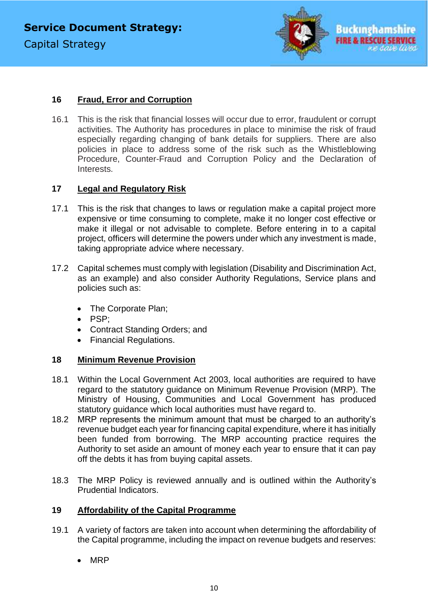

#### **16 Fraud, Error and Corruption**

16.1 This is the risk that financial losses will occur due to error, fraudulent or corrupt activities. The Authority has procedures in place to minimise the risk of fraud especially regarding changing of bank details for suppliers. There are also policies in place to address some of the risk such as the Whistleblowing Procedure, Counter-Fraud and Corruption Policy and the Declaration of Interests.

#### **17 Legal and Regulatory Risk**

- 17.1 This is the risk that changes to laws or regulation make a capital project more expensive or time consuming to complete, make it no longer cost effective or make it illegal or not advisable to complete. Before entering in to a capital project, officers will determine the powers under which any investment is made, taking appropriate advice where necessary.
- 17.2 Capital schemes must comply with legislation (Disability and Discrimination Act, as an example) and also consider Authority Regulations, Service plans and policies such as:
	- The Corporate Plan;
	- PSP;
	- Contract Standing Orders; and
	- Financial Regulations.

#### **18 Minimum Revenue Provision**

- 18.1 Within the Local Government Act 2003, local authorities are required to have regard to the statutory guidance on Minimum Revenue Provision (MRP). The Ministry of Housing, Communities and Local Government has produced statutory guidance which local authorities must have regard to.
- 18.2 MRP represents the minimum amount that must be charged to an authority's revenue budget each year for financing capital expenditure, where it has initially been funded from borrowing. The MRP accounting practice requires the Authority to set aside an amount of money each year to ensure that it can pay off the debts it has from buying capital assets.
- 18.3 The MRP Policy is reviewed annually and is outlined within the Authority's Prudential Indicators.

#### **19 Affordability of the Capital Programme**

- 19.1 A variety of factors are taken into account when determining the affordability of the Capital programme, including the impact on revenue budgets and reserves:
	- MRP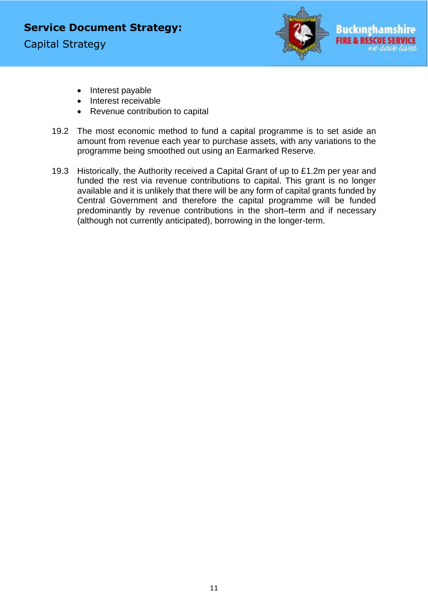

- Interest payable
- Interest receivable
- Revenue contribution to capital
- 19.2 The most economic method to fund a capital programme is to set aside an amount from revenue each year to purchase assets, with any variations to the programme being smoothed out using an Earmarked Reserve.
- 19.3 Historically, the Authority received a Capital Grant of up to £1.2m per year and funded the rest via revenue contributions to capital. This grant is no longer available and it is unlikely that there will be any form of capital grants funded by Central Government and therefore the capital programme will be funded predominantly by revenue contributions in the short–term and if necessary (although not currently anticipated), borrowing in the longer-term.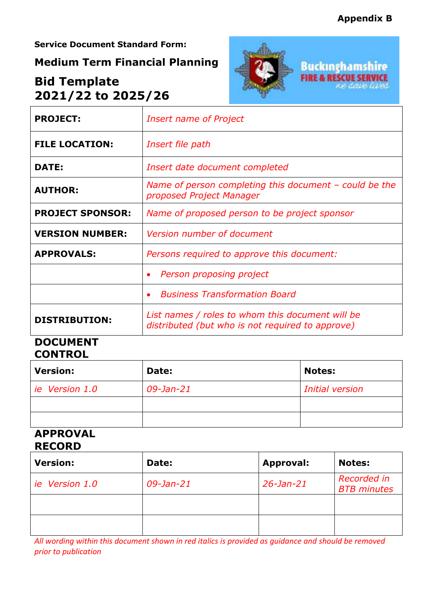ICE

**Service Document Standard Form:**

# **Medium Term Financial Planning**

# **Bid Template 2021/22 to 2025/26**



| <b>PROJECT:</b>         | <b>Insert name of Project</b>                                                                        |  |  |  |
|-------------------------|------------------------------------------------------------------------------------------------------|--|--|--|
| <b>FILE LOCATION:</b>   | Insert file path                                                                                     |  |  |  |
| <b>DATE:</b>            | Insert date document completed                                                                       |  |  |  |
| <b>AUTHOR:</b>          | Name of person completing this document $-$ could be the<br>proposed Project Manager                 |  |  |  |
| <b>PROJECT SPONSOR:</b> | Name of proposed person to be project sponsor                                                        |  |  |  |
| <b>VERSION NUMBER:</b>  | Version number of document                                                                           |  |  |  |
| <b>APPROVALS:</b>       | Persons required to approve this document:                                                           |  |  |  |
|                         | Person proposing project<br>$\bullet$                                                                |  |  |  |
|                         | <b>Business Transformation Board</b>                                                                 |  |  |  |
| <b>DISTRIBUTION:</b>    | List names / roles to whom this document will be<br>distributed (but who is not required to approve) |  |  |  |

# **DOCUMENT CONTROL**

| <b>Version:</b> | Date:     | <b>Notes:</b>   |
|-----------------|-----------|-----------------|
| ie Version 1.0  | 09-Jan-21 | Initial version |
|                 |           |                 |
|                 |           |                 |

# **APPROVAL RECORD**

| <b>Version:</b> | Date:     | Approval:       | <b>Notes:</b>                     |
|-----------------|-----------|-----------------|-----------------------------------|
| ie Version 1.0  | 09-Jan-21 | $26 - Jan - 21$ | Recorded in<br><b>BTB</b> minutes |
|                 |           |                 |                                   |
|                 |           |                 |                                   |

*All wording within this document shown in red italics is provided as guidance and should be removed prior to publication*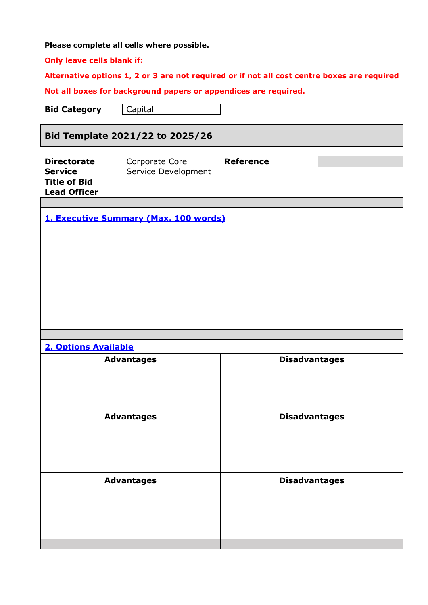**Please complete all cells where possible.**

**Only leave cells blank if:**

**Alternative options 1, 2 or 3 are not required or if not all cost centre boxes are required**

**Not all boxes for background papers or appendices are required.**

**Bid Category** Capital

# **Bid Template 2021/22 to 2025/26**

| <b>Directorate</b>  | Corporate Core      | <b>Reference</b> |  |
|---------------------|---------------------|------------------|--|
| <b>Service</b>      | Service Development |                  |  |
| <b>Title of Bid</b> |                     |                  |  |
| <b>Lead Officer</b> |                     |                  |  |

**1. Executive Summary (Max. 100 words)**

# **2. Options Available**

| <b>Advantages</b> | <b>Disadvantages</b> |
|-------------------|----------------------|
|                   |                      |
|                   |                      |
|                   |                      |
|                   |                      |
| <b>Advantages</b> | <b>Disadvantages</b> |
|                   |                      |
|                   |                      |
|                   |                      |
|                   |                      |
|                   |                      |
| <b>Advantages</b> | <b>Disadvantages</b> |
|                   |                      |
|                   |                      |
|                   |                      |
|                   |                      |
|                   |                      |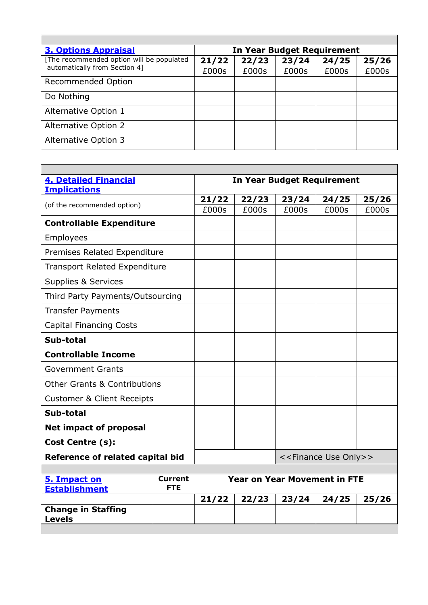| <b>3. Options Appraisal</b>               | <b>In Year Budget Requirement</b> |       |       |       |       |
|-------------------------------------------|-----------------------------------|-------|-------|-------|-------|
| [The recommended option will be populated | 21/22                             | 22/23 | 23/24 | 24/25 | 25/26 |
| automatically from Section 4]             | £000s                             | £000s | £000s | £000s | £000s |
| <b>Recommended Option</b>                 |                                   |       |       |       |       |
| Do Nothing                                |                                   |       |       |       |       |
| Alternative Option 1                      |                                   |       |       |       |       |
| Alternative Option 2                      |                                   |       |       |       |       |
| Alternative Option 3                      |                                   |       |       |       |       |

| <b>4. Detailed Financial</b>                                         | <b>In Year Budget Requirement</b>   |       |       |                                          |       |
|----------------------------------------------------------------------|-------------------------------------|-------|-------|------------------------------------------|-------|
| <b>Implications</b>                                                  | 21/22                               | 22/23 | 23/24 | 24/25                                    | 25/26 |
| (of the recommended option)                                          | £000s                               | £000s | £000s | £000s                                    | £000s |
| <b>Controllable Expenditure</b>                                      |                                     |       |       |                                          |       |
| Employees                                                            |                                     |       |       |                                          |       |
| Premises Related Expenditure                                         |                                     |       |       |                                          |       |
| <b>Transport Related Expenditure</b>                                 |                                     |       |       |                                          |       |
| Supplies & Services                                                  |                                     |       |       |                                          |       |
| Third Party Payments/Outsourcing                                     |                                     |       |       |                                          |       |
| <b>Transfer Payments</b>                                             |                                     |       |       |                                          |       |
| <b>Capital Financing Costs</b>                                       |                                     |       |       |                                          |       |
| Sub-total                                                            |                                     |       |       |                                          |       |
| <b>Controllable Income</b>                                           |                                     |       |       |                                          |       |
| <b>Government Grants</b>                                             |                                     |       |       |                                          |       |
| <b>Other Grants &amp; Contributions</b>                              |                                     |       |       |                                          |       |
| <b>Customer &amp; Client Receipts</b>                                |                                     |       |       |                                          |       |
| Sub-total                                                            |                                     |       |       |                                          |       |
| <b>Net impact of proposal</b>                                        |                                     |       |       |                                          |       |
| Cost Centre (s):                                                     |                                     |       |       |                                          |       |
| Reference of related capital bid                                     |                                     |       |       | < <finance only="" use="">&gt;</finance> |       |
|                                                                      |                                     |       |       |                                          |       |
| 5. Impact on<br><b>Current</b><br><b>FTE</b><br><b>Establishment</b> | <b>Year on Year Movement in FTE</b> |       |       |                                          |       |
|                                                                      | 21/22                               | 22/23 | 23/24 | 24/25                                    | 25/26 |
| <b>Change in Staffing</b><br><b>Levels</b>                           |                                     |       |       |                                          |       |
|                                                                      |                                     |       |       |                                          |       |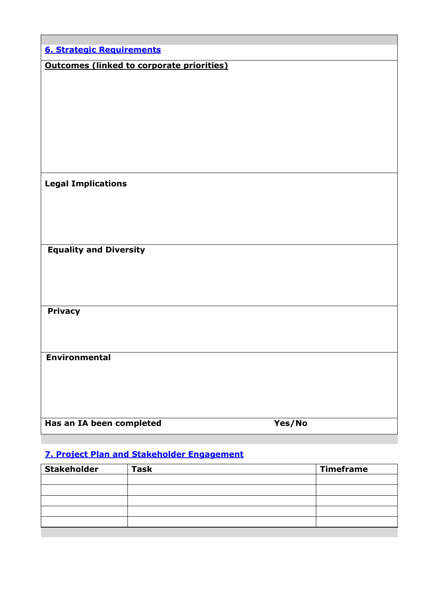| <b>6. Strategic Requirements</b>                 |        |
|--------------------------------------------------|--------|
| <b>Outcomes (linked to corporate priorities)</b> |        |
|                                                  |        |
|                                                  |        |
|                                                  |        |
|                                                  |        |
|                                                  |        |
|                                                  |        |
|                                                  |        |
|                                                  |        |
| <b>Legal Implications</b>                        |        |
|                                                  |        |
|                                                  |        |
|                                                  |        |
| <b>Equality and Diversity</b>                    |        |
|                                                  |        |
|                                                  |        |
|                                                  |        |
|                                                  |        |
| <b>Privacy</b>                                   |        |
|                                                  |        |
|                                                  |        |
| <b>Environmental</b>                             |        |
|                                                  |        |
|                                                  |        |
|                                                  |        |
|                                                  |        |
| Has an IA been completed                         | Yes/No |

# **7. Project Plan and Stakeholder Engagement**

| <b>Stakeholder</b> | <b>Task</b> | <b>Timeframe</b> |
|--------------------|-------------|------------------|
|                    |             |                  |
|                    |             |                  |
|                    |             |                  |
|                    |             |                  |
|                    |             |                  |
|                    |             |                  |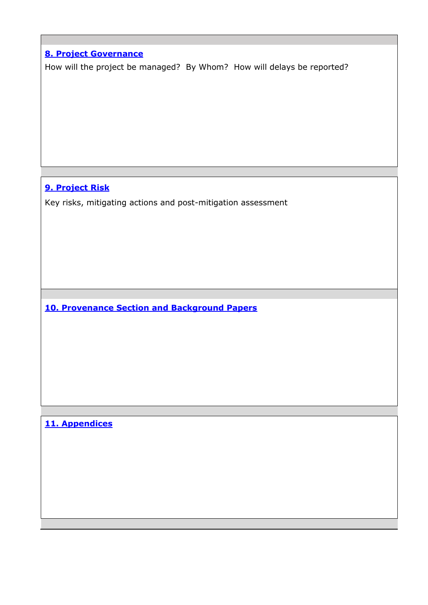| <b>8. Project Governance</b>                                           |
|------------------------------------------------------------------------|
| How will the project be managed? By Whom? How will delays be reported? |
|                                                                        |
|                                                                        |
|                                                                        |
|                                                                        |
|                                                                        |
|                                                                        |
|                                                                        |
|                                                                        |
|                                                                        |
|                                                                        |
|                                                                        |
|                                                                        |
| 9. Project Risk                                                        |
| Key risks, mitigating actions and post-mitigation assessment           |
|                                                                        |
|                                                                        |
|                                                                        |
|                                                                        |
|                                                                        |
|                                                                        |
|                                                                        |
|                                                                        |
|                                                                        |
|                                                                        |
|                                                                        |
| <b>10. Provenance Section and Background Papers</b>                    |
|                                                                        |
|                                                                        |
|                                                                        |
|                                                                        |
|                                                                        |
|                                                                        |
|                                                                        |
|                                                                        |
|                                                                        |
|                                                                        |
|                                                                        |
| 11. Appendices                                                         |
|                                                                        |
|                                                                        |
|                                                                        |
|                                                                        |
|                                                                        |
|                                                                        |
|                                                                        |
|                                                                        |
|                                                                        |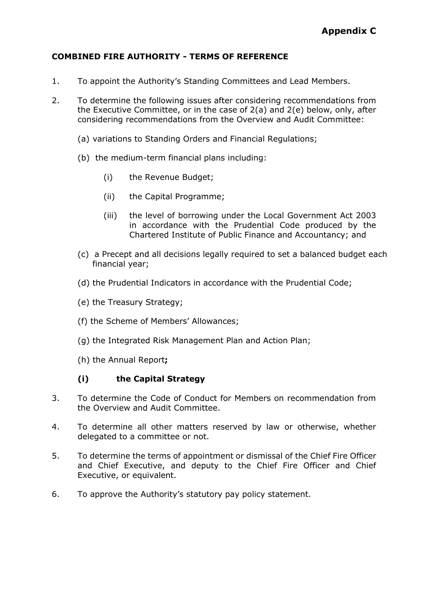## **COMBINED FIRE AUTHORITY - TERMS OF REFERENCE**

- 1. To appoint the Authority's Standing Committees and Lead Members.
- 2. To determine the following issues after considering recommendations from the Executive Committee, or in the case of 2(a) and 2(e) below, only, after considering recommendations from the Overview and Audit Committee:
	- (a) variations to Standing Orders and Financial Regulations;
	- (b) the medium-term financial plans including:
		- (i) the Revenue Budget;
		- (ii) the Capital Programme;
		- (iii) the level of borrowing under the Local Government Act 2003 in accordance with the Prudential Code produced by the Chartered Institute of Public Finance and Accountancy; and
	- (c) a Precept and all decisions legally required to set a balanced budget each financial year;
	- (d) the Prudential Indicators in accordance with the Prudential Code;
	- (e) the Treasury Strategy;
	- (f) the Scheme of Members' Allowances;
	- (g) the Integrated Risk Management Plan and Action Plan;
	- (h) the Annual Report**;**

#### **(i) the Capital Strategy**

- 3. To determine the Code of Conduct for Members on recommendation from the Overview and Audit Committee.
- 4. To determine all other matters reserved by law or otherwise, whether delegated to a committee or not.
- 5. To determine the terms of appointment or dismissal of the Chief Fire Officer and Chief Executive, and deputy to the Chief Fire Officer and Chief Executive, or equivalent.
- 6. To approve the Authority's statutory pay policy statement.